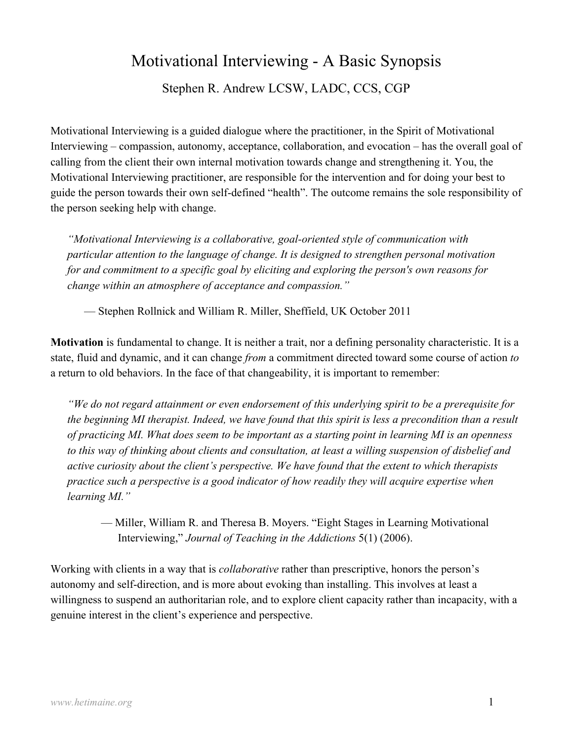# Motivational Interviewing - A Basic Synopsis

Stephen R. Andrew LCSW, LADC, CCS, CGP

Motivational Interviewing is a guided dialogue where the practitioner, in the Spirit of Motivational Interviewing – compassion, autonomy, acceptance, collaboration, and evocation – has the overall goal of calling from the client their own internal motivation towards change and strengthening it. You, the Motivational Interviewing practitioner, are responsible for the intervention and for doing your best to guide the person towards their own self-defined "health". The outcome remains the sole responsibility of the person seeking help with change.

"Motivational Interviewing is a collaborative, goal-oriented style of communication with particular attention to the language of change. It is designed to strengthen personal motivation for and commitment to a specific goal by eliciting and exploring the person's own reasons for change within an atmosphere of acceptance and compassion."

— Stephen Rollnick and William R. Miller, Sheffield, UK October 2011

Motivation is fundamental to change. It is neither a trait, nor a defining personality characteristic. It is a state, fluid and dynamic, and it can change from a commitment directed toward some course of action to a return to old behaviors. In the face of that changeability, it is important to remember:

"We do not regard attainment or even endorsement of this underlying spirit to be a prerequisite for the beginning MI therapist. Indeed, we have found that this spirit is less a precondition than a result of practicing MI. What does seem to be important as a starting point in learning MI is an openness to this way of thinking about clients and consultation, at least a willing suspension of disbelief and active curiosity about the client's perspective. We have found that the extent to which therapists practice such a perspective is a good indicator of how readily they will acquire expertise when learning MI."

— Miller, William R. and Theresa B. Moyers. "Eight Stages in Learning Motivational Interviewing," Journal of Teaching in the Addictions 5(1) (2006).

Working with clients in a way that is *collaborative* rather than prescriptive, honors the person's autonomy and self-direction, and is more about evoking than installing. This involves at least a willingness to suspend an authoritarian role, and to explore client capacity rather than incapacity, with a genuine interest in the client's experience and perspective.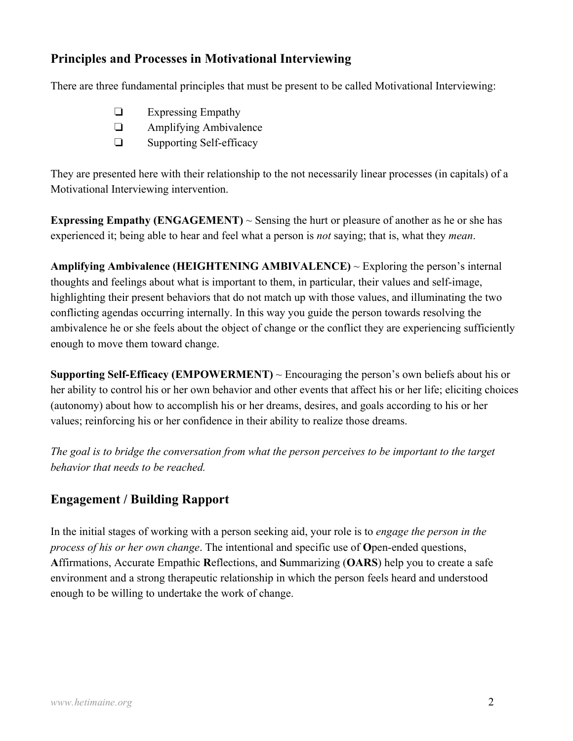## Principles and Processes in Motivational Interviewing

There are three fundamental principles that must be present to be called Motivational Interviewing:

- □ Expressing Empathy
- □ Amplifying Ambivalence
- $\square$  Supporting Self-efficacy

They are presented here with their relationship to the not necessarily linear processes (in capitals) of a Motivational Interviewing intervention.

**Expressing Empathy (ENGAGEMENT)**  $\sim$  Sensing the hurt or pleasure of another as he or she has experienced it; being able to hear and feel what a person is *not* saying; that is, what they *mean*.

Amplifying Ambivalence (HEIGHTENING AMBIVALENCE)  $\sim$  Exploring the person's internal thoughts and feelings about what is important to them, in particular, their values and self-image, highlighting their present behaviors that do not match up with those values, and illuminating the two conflicting agendas occurring internally. In this way you guide the person towards resolving the ambivalence he or she feels about the object of change or the conflict they are experiencing sufficiently enough to move them toward change.

**Supporting Self-Efficacy (EMPOWERMENT)**  $\sim$  Encouraging the person's own beliefs about his or her ability to control his or her own behavior and other events that affect his or her life; eliciting choices (autonomy) about how to accomplish his or her dreams, desires, and goals according to his or her values; reinforcing his or her confidence in their ability to realize those dreams.

The goal is to bridge the conversation from what the person perceives to be important to the target behavior that needs to be reached.

## Engagement / Building Rapport

In the initial stages of working with a person seeking aid, your role is to *engage the person in the* process of his or her own change. The intentional and specific use of Open-ended questions, Affirmations, Accurate Empathic Reflections, and Summarizing (OARS) help you to create a safe environment and a strong therapeutic relationship in which the person feels heard and understood enough to be willing to undertake the work of change.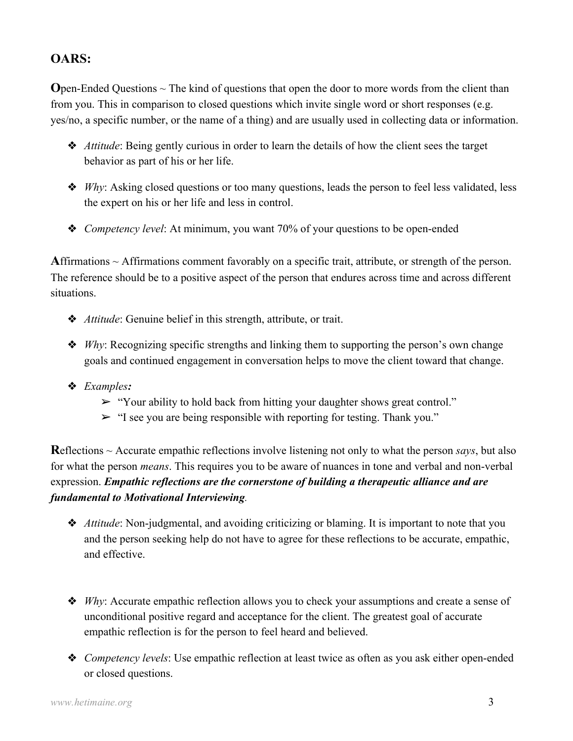# OARS:

**O**pen-Ended Questions  $\sim$  The kind of questions that open the door to more words from the client than from you. This in comparison to closed questions which invite single word or short responses (e.g. yes/no, a specific number, or the name of a thing) and are usually used in collecting data or information.

- $\triangle$  *Attitude*: Being gently curious in order to learn the details of how the client sees the target behavior as part of his or her life.
- $W_h$ . Asking closed questions or too many questions, leads the person to feel less validated, less the expert on his or her life and less in control.
- ◆ Competency level: At minimum, you want 70% of your questions to be open-ended

Affirmations  $\sim$  Affirmations comment favorably on a specific trait, attribute, or strength of the person. The reference should be to a positive aspect of the person that endures across time and across different situations.

- ◆ *Attitude*: Genuine belief in this strength, attribute, or trait.
- $\triangle$  *Why:* Recognizing specific strengths and linking them to supporting the person's own change goals and continued engagement in conversation helps to move the client toward that change.
- :Examples ٳ
	- $\triangleright$  "Your ability to hold back from hitting your daughter shows great control."
	- $\geq$  "I see you are being responsible with reporting for testing. Thank you."

Reflections  $\sim$  Accurate empathic reflections involve listening not only to what the person says, but also for what the person *means*. This requires you to be aware of nuances in tone and verbal and non-verbal expression. Empathic reflections are the cornerstone of building a therapeutic alliance and are fundamental to Motivational Interviewing.

- ◆ *Attitude*: Non-judgmental, and avoiding criticizing or blaming. It is important to note that you and the person seeking help do not have to agree for these reflections to be accurate, empathic, and effective.
- $W$ hy: Accurate empathic reflection allows you to check your assumptions and create a sense of unconditional positive regard and acceptance for the client. The greatest goal of accurate empathic reflection is for the person to feel heard and believed.
- ◆ *Competency levels*: Use empathic reflection at least twice as often as you ask either open-ended or closed questions.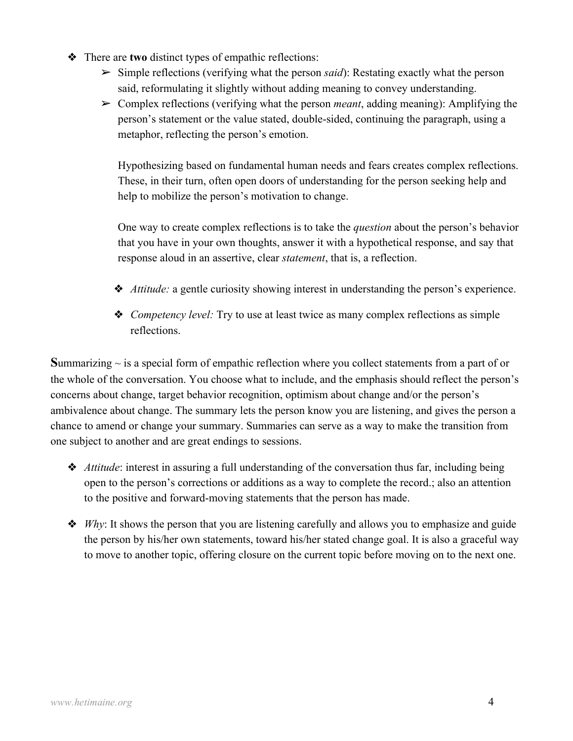- $\triangle$  There are two distinct types of empathic reflections:
	- $\triangleright$  Simple reflections (verifying what the person said): Restating exactly what the person said, reformulating it slightly without adding meaning to convey understanding.
	- $\triangleright$  Complex reflections (verifying what the person *meant*, adding meaning): Amplifying the person's statement or the value stated, double-sided, continuing the paragraph, using a metaphor, reflecting the person's emotion.

Hypothesizing based on fundamental human needs and fears creates complex reflections. These, in their turn, often open doors of understanding for the person seeking help and help to mobilize the person's motivation to change.

One way to create complex reflections is to take the question about the person's behavior that you have in your own thoughts, answer it with a hypothetical response, and say that response aloud in an assertive, clear *statement*, that is, a reflection.

- $\triangle$  *Attitude:* a gentle curiosity showing interest in understanding the person's experience.
- ◆ *Competency level:* Try to use at least twice as many complex reflections as simple reflections.

Summarizing  $\sim$  is a special form of empathic reflection where you collect statements from a part of or the whole of the conversation. You choose what to include, and the emphasis should reflect the person's concerns about change, target behavior recognition, optimism about change and/or the person's ambivalence about change. The summary lets the person know you are listening, and gives the person a chance to amend or change your summary. Summaries can serve as a way to make the transition from one subject to another and are great endings to sessions.

- ◆ *Attitude*: interest in assuring a full understanding of the conversation thus far, including being open to the person's corrections or additions as a way to complete the record.; also an attention to the positive and forward-moving statements that the person has made.
- $\triangle$  *Why*: It shows the person that you are listening carefully and allows you to emphasize and guide the person by his/her own statements, toward his/her stated change goal. It is also a graceful way to move to another topic, offering closure on the current topic before moving on to the next one.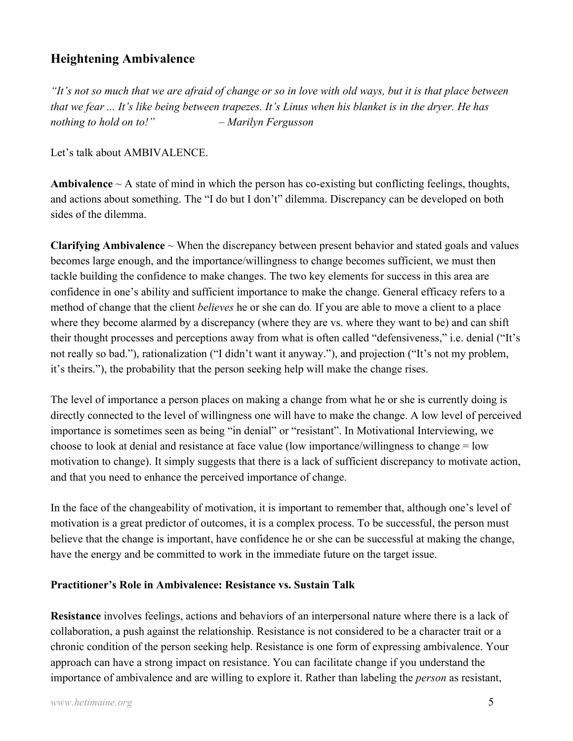## Heightening Ambivalence

"It's not so much that we are afraid of change or so in love with old ways, but it is that place between that we fear ... It's like being between trapezes. It's Linus when his blanket is in the dryer. He has nothing to hold on to!" – Marilyn Fergusson

Let's talk about AMBIVALENCE.

Ambivalence  $\sim$  A state of mind in which the person has co-existing but conflicting feelings, thoughts, and actions about something. The "I do but I don't" dilemma. Discrepancy can be developed on both sides of the dilemma.

**Clarifying Ambivalence**  $\sim$  When the discrepancy between present behavior and stated goals and values becomes large enough, and the importance/willingness to change becomes sufficient, we must then tackle building the confidence to make changes. The two key elements for success in this area are confidence in one's ability and sufficient importance to make the change. General efficacy refers to a method of change that the client *believes* he or she can do. If you are able to move a client to a place where they become alarmed by a discrepancy (where they are vs. where they want to be) and can shift their thought processes and perceptions away from what is often called "defensiveness," i.e. denial ("It's not really so bad."), rationalization ("I didn't want it anyway."), and projection ("It's not my problem, it's theirs."), the probability that the person seeking help will make the change rises.

The level of importance a person places on making a change from what he or she is currently doing is directly connected to the level of willingness one will have to make the change. A low level of perceived importance is sometimes seen as being "in denial" or "resistant". In Motivational Interviewing, we choose to look at denial and resistance at face value (low importance/willingness to change = low motivation to change). It simply suggests that there is a lack of sufficient discrepancy to motivate action, and that you need to enhance the perceived importance of change.

In the face of the changeability of motivation, it is important to remember that, although one's level of motivation is a great predictor of outcomes, it is a complex process. To be successful, the person must believe that the change is important, have confidence he or she can be successful at making the change, have the energy and be committed to work in the immediate future on the target issue.

#### Practitioner's Role in Ambivalence: Resistance vs. Sustain Talk

Resistance involves feelings, actions and behaviors of an interpersonal nature where there is a lack of collaboration, a push against the relationship. Resistance is not considered to be a character trait or a chronic condition of the person seeking help. Resistance is one form of expressing ambivalence. Your approach can have a strong impact on resistance. You can facilitate change if you understand the importance of ambivalence and are willing to explore it. Rather than labeling the *person* as resistant,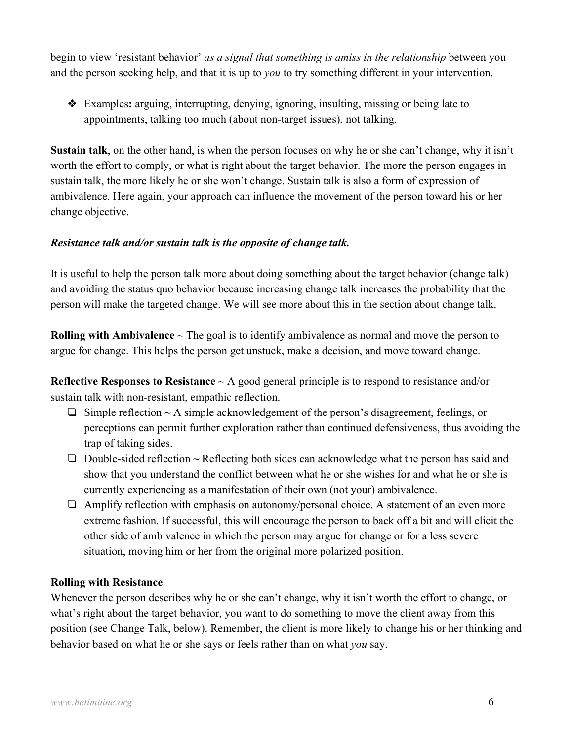begin to view 'resistant behavior' as a signal that something is amiss in the relationship between you and the person seeking help, and that it is up to you to try something different in your intervention.

◆ Examples: arguing, interrupting, denying, ignoring, insulting, missing or being late to appointments, talking too much (about non-target issues), not talking.

Sustain talk, on the other hand, is when the person focuses on why he or she can't change, why it isn't worth the effort to comply, or what is right about the target behavior. The more the person engages in sustain talk, the more likely he or she won't change. Sustain talk is also a form of expression of ambivalence. Here again, your approach can influence the movement of the person toward his or her change objective.

#### Resistance talk and/or sustain talk is the opposite of change talk.

It is useful to help the person talk more about doing something about the target behavior (change talk) and avoiding the status quo behavior because increasing change talk increases the probability that the person will make the targeted change. We will see more about this in the section about change talk.

**Rolling with Ambivalence**  $\sim$  The goal is to identify ambivalence as normal and move the person to argue for change. This helps the person get unstuck, make a decision, and move toward change.

Reflective Responses to Resistance  $\sim$  A good general principle is to respond to resistance and/or sustain talk with non-resistant, empathic reflection.

- $\Box$  Simple reflection  $\sim A$  simple acknowledgement of the person's disagreement, feelings, or perceptions can permit further exploration rather than continued defensiveness, thus avoiding the trap of taking sides.
- $\Box$  Double-sided reflection  $\sim$  Reflecting both sides can acknowledge what the person has said and show that you understand the conflict between what he or she wishes for and what he or she is currently experiencing as a manifestation of their own (not your) ambivalence.
- $\Box$  Amplify reflection with emphasis on autonomy/personal choice. A statement of an even more extreme fashion. If successful, this will encourage the person to back off a bit and will elicit the other side of ambivalence in which the person may argue for change or for a less severe situation, moving him or her from the original more polarized position.

#### Rolling with Resistance

Whenever the person describes why he or she can't change, why it isn't worth the effort to change, or what's right about the target behavior, you want to do something to move the client away from this position (see Change Talk, below). Remember, the client is more likely to change his or her thinking and behavior based on what he or she says or feels rather than on what you say.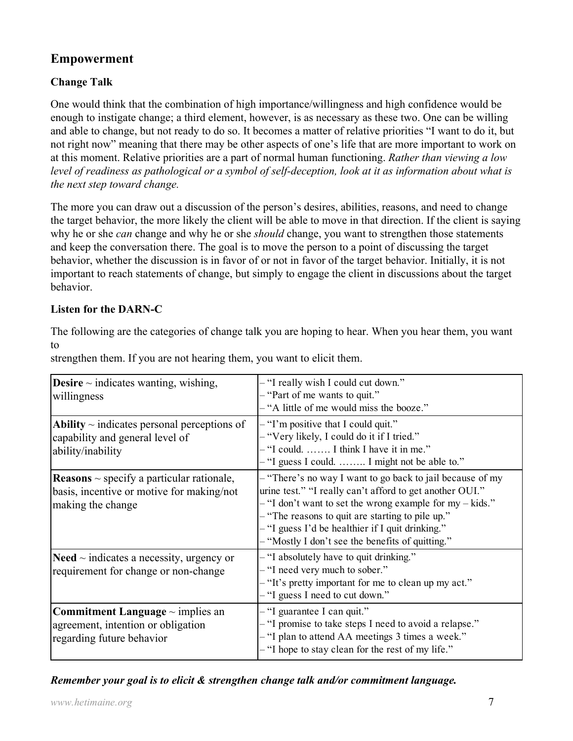# Empowerment

## Change Talk

One would think that the combination of high importance/willingness and high confidence would be enough to instigate change; a third element, however, is as necessary as these two. One can be willing and able to change, but not ready to do so. It becomes a matter of relative priorities "I want to do it, but not right now" meaning that there may be other aspects of one's life that are more important to work on at this moment. Relative priorities are a part of normal human functioning. Rather than viewing a low level of readiness as pathological or a symbol of self-deception, look at it as information about what is the next step toward change.

The more you can draw out a discussion of the person's desires, abilities, reasons, and need to change the target behavior, the more likely the client will be able to move in that direction. If the client is saying why he or she *can* change and why he or she *should* change, you want to strengthen those statements and keep the conversation there. The goal is to move the person to a point of discussing the target behavior, whether the discussion is in favor of or not in favor of the target behavior. Initially, it is not important to reach statements of change, but simply to engage the client in discussions about the target behavior.

### Listen for the DARN-C

The following are the categories of change talk you are hoping to hear. When you hear them, you want to

| <b>Desire</b> $\sim$ indicates wanting, wishing,<br>willingness                                                         | - "I really wish I could cut down."<br>- "Part of me wants to quit."<br>- "A little of me would miss the booze."                                                                                                                                                                                                                                    |
|-------------------------------------------------------------------------------------------------------------------------|-----------------------------------------------------------------------------------------------------------------------------------------------------------------------------------------------------------------------------------------------------------------------------------------------------------------------------------------------------|
| Ability $\sim$ indicates personal perceptions of<br>capability and general level of<br>ability/inability                | $-$ "I'm positive that I could quit."<br>- "Very likely, I could do it if I tried."<br>- "I could.  I think I have it in me."<br>- "I guess I could.  I might not be able to."                                                                                                                                                                      |
| <b>Reasons</b> $\sim$ specify a particular rationale,<br>basis, incentive or motive for making/not<br>making the change | - "There's no way I want to go back to jail because of my<br>urine test." "I really can't afford to get another OUI."<br>$-$ "I don't want to set the wrong example for my $-$ kids."<br>- "The reasons to quit are starting to pile up."<br>$-$ "I guess I'd be healthier if I quit drinking."<br>- "Mostly I don't see the benefits of quitting." |
| <b>Need</b> $\sim$ indicates a necessity, urgency or<br>requirement for change or non-change                            | - "I absolutely have to quit drinking."<br>- "I need very much to sober."<br>- "It's pretty important for me to clean up my act."<br>- "I guess I need to cut down."                                                                                                                                                                                |
| <b>Commitment Language</b> $\sim$ implies an<br>agreement, intention or obligation<br>regarding future behavior         | - "I guarantee I can quit."<br>- "I promise to take steps I need to avoid a relapse."<br>- "I plan to attend AA meetings 3 times a week."<br>- "I hope to stay clean for the rest of my life."                                                                                                                                                      |

strengthen them. If you are not hearing them, you want to elicit them.

## Remember your goal is to elicit & strengthen change talk and/or commitment language.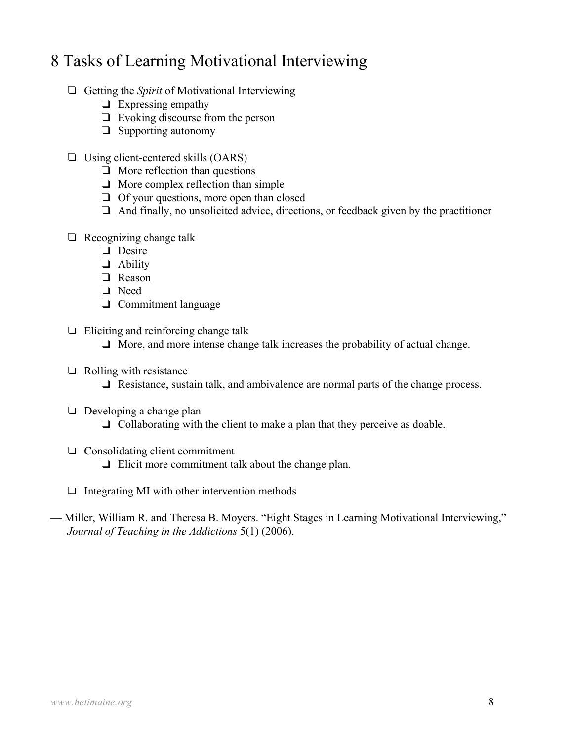# 8 Tasks of Learning Motivational Interviewing

- $\Box$  Getting the *Spirit* of Motivational Interviewing
	- $\Box$  Expressing empathy
	- $\Box$  Evoking discourse from the person
	- $\Box$  Supporting autonomy
- $\Box$  Using client-centered skills (OARS)
	- $\Box$  More reflection than questions
	- $\Box$  More complex reflection than simple
	- $\Box$  Of your questions, more open than closed
	- $\Box$  And finally, no unsolicited advice, directions, or feedback given by the practitioner
- $\Box$  Recognizing change talk
	- □ Desire
	- □ Ability
	- □ Reason
	- □ Need
	- $\Box$  Commitment language
- $\Box$  Eliciting and reinforcing change talk
	- $\Box$  More, and more intense change talk increases the probability of actual change.
- $\Box$  Rolling with resistance
	- $\Box$  Resistance, sustain talk, and ambivalence are normal parts of the change process.
- $\Box$  Developing a change plan
	- $\Box$  Collaborating with the client to make a plan that they perceive as doable.
- $\Box$  Consolidating client commitment  $\Box$  Elicit more commitment talk about the change plan.
- $\Box$  Integrating MI with other intervention methods
- Miller, William R. and Theresa B. Moyers. "Eight Stages in Learning Motivational Interviewing," Journal of Teaching in the Addictions 5(1) (2006).